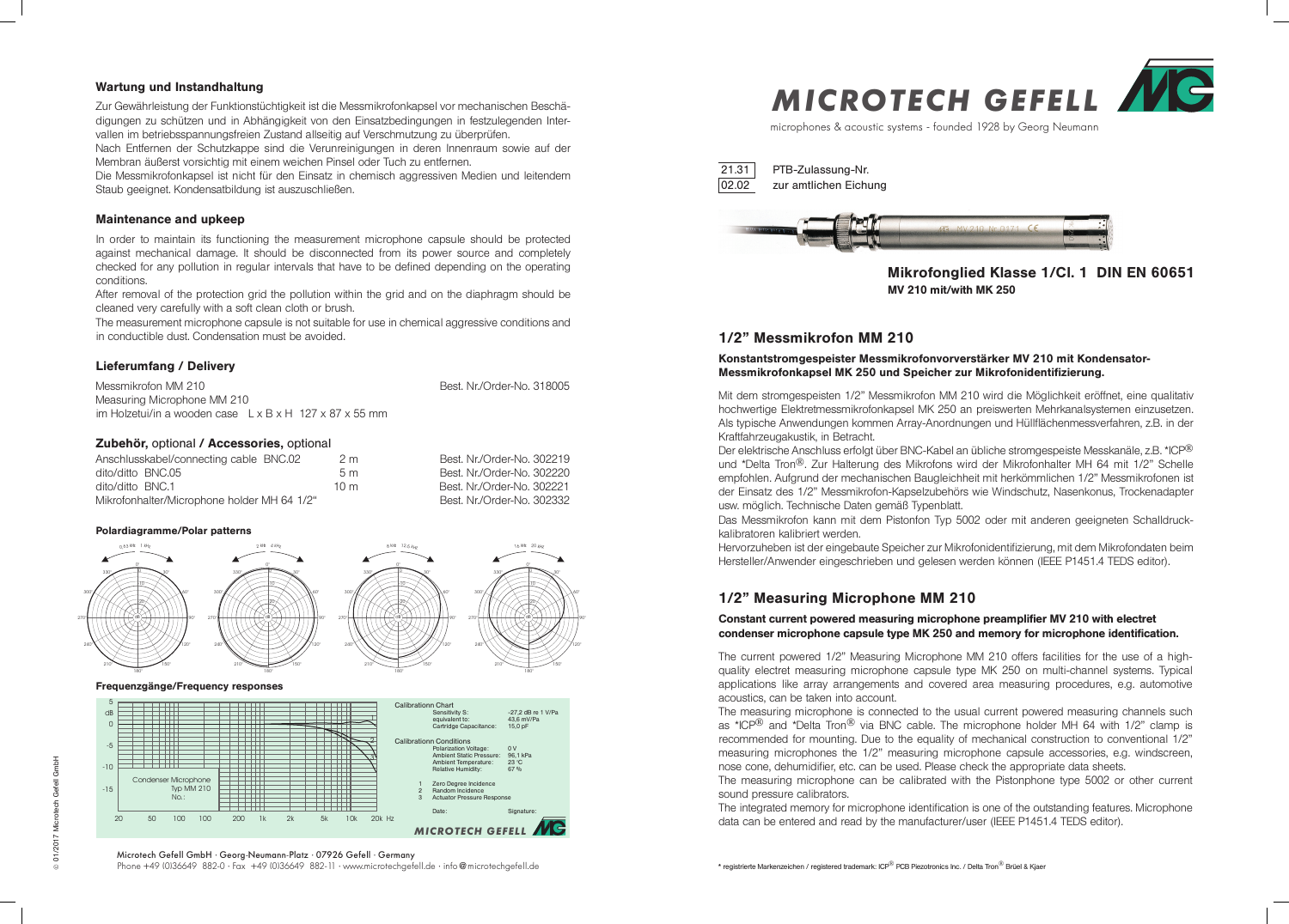microphones & acoustic systems - founded 1928 by Georg Neumann







60°

90°

120°

Mit dem stromgespeisten 1/2" Messmikrofon MM 210 wird die Möglichkeit eröffnet, eine qualitativ hochwertige Elektretmessmikrofonkapsel MK 250 an preiswerten Mehrkanalsystemen einzusetzen. Als typische Anwendungen kommen Array-Anordnungen und Hüllflächenmessverfahren, z.B. in der Kraftfahrzeugakustik, in Betracht.

Der elektrische Anschluss erfolgt über BNC-Kabel an übliche stromgespeiste Messkanäle, z.B. \*ICP® und \*Delta Tron®. Zur Halterung des Mikrofons wird der Mikrofonhalter MH 64 mit 1/2" Schelle empfohlen. Aufgrund der mechanischen Baugleichheit mit herkömmlichen 1/2" Messmikrofonen ist der Einsatz des 1/2" Messmikrofon-Kapselzubehörs wie Windschutz, Nasenkonus, Trockenadapter usw. möglich. Technische Daten gemäß Typenblatt. Das Messmikrofon kann mit dem Pistonfon Typ 5002 oder mit anderen geeigneten Schalldruckkalibratoren kalibriert werden.

Hervorzuheben ist der eingebaute Speicher zur Mikrofonidentifizierung, mit dem Mikrofondaten beim Hersteller/Anwender eingeschrieben und gelesen werden können (IEEE P1451.4 TEDS editor).

The current powered 1/2" Measuring Microphone MM 210 offers facilities for the use of a highquality electret measuring microphone capsule type MK 250 on multi-channel systems. Typical applications like array arrangements and covered area measuring procedures, e.g. automotive acoustics, can be taken into account.

Messmikrofon MM 210 **Best. Nr./Order-No. 318005** Measuring Microphone MM 210 im Holzetui/in a wooden case L x B x H 127 x 87 x 55 mm

The measuring microphone is connected to the usual current powered measuring channels such as \*ICP<sup>®</sup> and \*Delta Tron<sup>®</sup> via BNC cable. The microphone holder MH 64 with 1/2" clamp is recommended for mounting. Due to the equality of mechanical construction to conventional 1/2" measuring microphones the 1/2" measuring microphone capsule accessories, e.g. windscreen, nose cone, dehumidifier, etc. can be used. Please check the appropriate data sheets. The measuring microphone can be calibrated with the Pistonphone type 5002 or other current sound pressure calibrators.

The integrated memory for microphone identification is one of the outstanding features. Microphone data can be entered and read by the manufacturer/user (IEEE P1451.4 TEDS editor).



Microtech Gefell GmbH · Georg-Neumann-Platz · 07926 Gefell · Germany Phone +49 (0)36649 882-0 · Fax +49 (0)36649 882-11 · www.microtechgefell.de · info@microtechgefell.de

## 1/2" Messmikrofon MM 210

## Konstantstromgespeister Messmikrofonvorverstärker MV 210 mit Kondensator-Messmikrofonkapsel MK 250 und Speicher zur Mikrofonidentifizierung.

#### Wartung und Instandhaltung

Zur Gewährleistung der Funktionstüchtigkeit ist die Messmikrofonkapsel vor mechanischen Beschädigungen zu schützen und in Abhängigkeit von den Einsatzbedingungen in festzulegenden Intervallen im betriebsspannungsfreien Zustand allseitig auf Verschmutzung zu überprüfen.

Nach Entfernen der Schutzkappe sind die Verunreinigungen in deren Innenraum sowie auf der Membran äußerst vorsichtig mit einem weichen Pinsel oder Tuch zu entfernen.

Die Messmikrofonkapsel ist nicht für den Einsatz in chemisch aggressiven Medien und leitendem Staub geeignet. Kondensatbildung ist auszuschließen.

#### Maintenance and upkeep

In order to maintain its functioning the measurement microphone capsule should be protected against mechanical damage. It should be disconnected from its power source and completely checked for any pollution in regular intervals that have to be defined depending on the operating conditions.

After removal of the protection grid the pollution within the grid and on the diaphragm should be cleaned very carefully with a soft clean cloth or brush.

The measurement microphone capsule is not suitable for use in chemical aggressive conditions and in conductible dust. Condensation must be avoided.

### Lieferumfang / Delivery

Zubehör, optional / Accessories, optional

| Anschlusskabel/connecting cable BNC.02      | 2m  | Best. Nr./Order-No. 302219 |
|---------------------------------------------|-----|----------------------------|
| dito/ditto BNC.05                           | 5m  | Best. Nr./Order-No. 302220 |
| dito/ditto BNC.1                            | 10m | Best. Nr./Order-No. 302221 |
| Mikrofonhalter/Microphone holder MH 64 1/2" |     | Best. Nr./Order-No. 302332 |

#### Polardiagramme/Polar patterns

#### Frequenzgänge/Frequency responses

# 1/2" Measuring Microphone MM 210

### Constant current powered measuring microphone preamplifier MV 210 with electret condenser microphone capsule type MK 250 and memory for microphone identification.

# Mikrofonglied Klasse 1/Cl. 1 DIN EN 60651 MV 210 mit/with MK 250



PTB-Zulassung-Nr. zur amtlichen Eichung